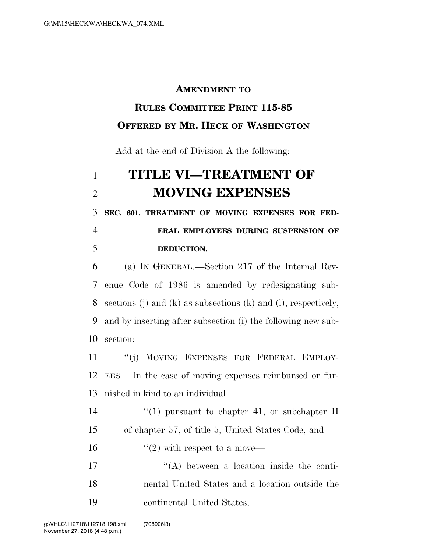#### **AMENDMENT TO**

### **RULES COMMITTEE PRINT 115-85 OFFERED BY MR. HECK OF WASHINGTON**

Add at the end of Division A the following:

# **TITLE VI—TREATMENT OF MOVING EXPENSES**

 **SEC. 601. TREATMENT OF MOVING EXPENSES FOR FED-ERAL EMPLOYEES DURING SUSPENSION OF** 

### **DEDUCTION.**

 (a) IN GENERAL.—Section 217 of the Internal Rev- enue Code of 1986 is amended by redesignating sub- sections (j) and (k) as subsections (k) and (l), respectively, and by inserting after subsection (i) the following new sub-section:

 ''(j) MOVING EXPENSES FOR FEDERAL EMPLOY- EES.—In the case of moving expenses reimbursed or fur-nished in kind to an individual—

14  $\frac{1}{2}$  (1) pursuant to chapter 41, or subchapter II of chapter 57, of title 5, United States Code, and

16  $\frac{16}{2}$  with respect to a move—

17  $\langle (A) \rangle$  between a location inside the conti- nental United States and a location outside the continental United States,